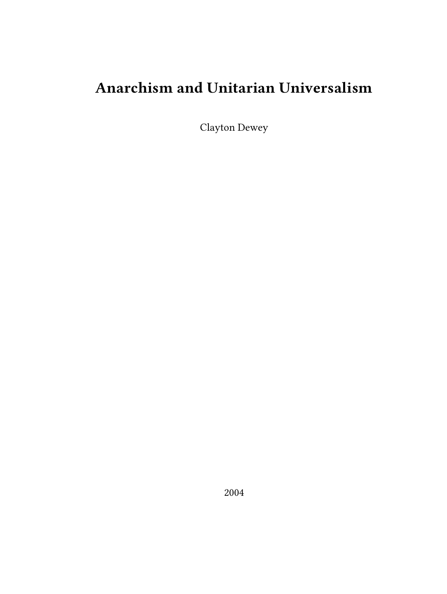# **Anarchism and Unitarian Universalism**

Clayton Dewey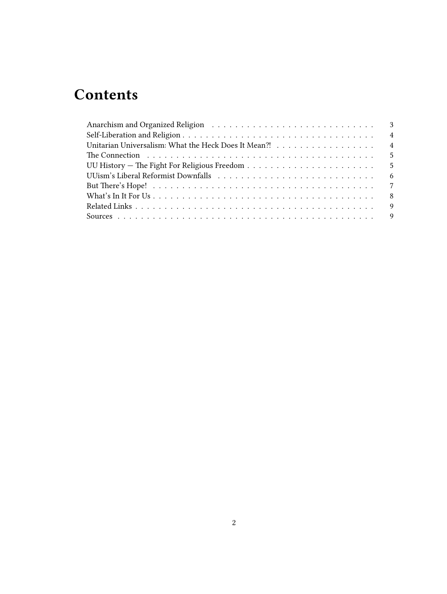# **Contents**

| Anarchism and Organized Religion (and all contracts of the state of the state of the state of the state of the state of the state of the state of the state of the state of the state of the state of the state of the state o |
|--------------------------------------------------------------------------------------------------------------------------------------------------------------------------------------------------------------------------------|
| $\overline{4}$                                                                                                                                                                                                                 |
| Unitarian Universalism: What the Heck Does It Mean?! 4                                                                                                                                                                         |
|                                                                                                                                                                                                                                |
|                                                                                                                                                                                                                                |
| - 6                                                                                                                                                                                                                            |
|                                                                                                                                                                                                                                |
| 8                                                                                                                                                                                                                              |
|                                                                                                                                                                                                                                |
|                                                                                                                                                                                                                                |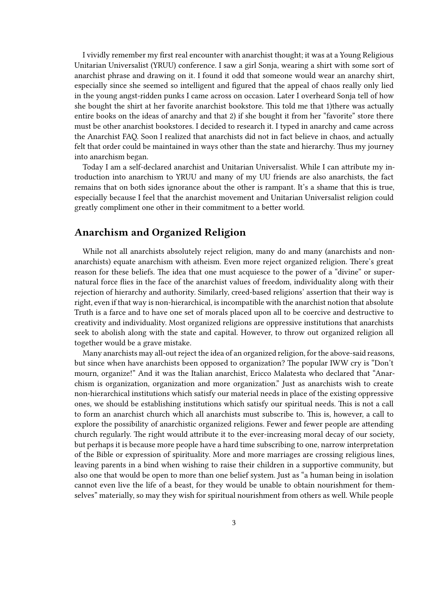I vividly remember my first real encounter with anarchist thought; it was at a Young Religious Unitarian Universalist (YRUU) conference. I saw a girl Sonja, wearing a shirt with some sort of anarchist phrase and drawing on it. I found it odd that someone would wear an anarchy shirt, especially since she seemed so intelligent and figured that the appeal of chaos really only lied in the young angst-ridden punks I came across on occasion. Later I overheard Sonja tell of how she bought the shirt at her favorite anarchist bookstore. This told me that 1)there was actually entire books on the ideas of anarchy and that 2) if she bought it from her "favorite" store there must be other anarchist bookstores. I decided to research it. I typed in anarchy and came across the Anarchist FAQ. Soon I realized that anarchists did not in fact believe in chaos, and actually felt that order could be maintained in ways other than the state and hierarchy. Thus my journey into anarchism began.

Today I am a self-declared anarchist and Unitarian Universalist. While I can attribute my introduction into anarchism to YRUU and many of my UU friends are also anarchists, the fact remains that on both sides ignorance about the other is rampant. It's a shame that this is true, especially because I feel that the anarchist movement and Unitarian Universalist religion could greatly compliment one other in their commitment to a better world.

# <span id="page-2-0"></span>**Anarchism and Organized Religion**

While not all anarchists absolutely reject religion, many do and many (anarchists and nonanarchists) equate anarchism with atheism. Even more reject organized religion. There's great reason for these beliefs. The idea that one must acquiesce to the power of a "divine" or supernatural force flies in the face of the anarchist values of freedom, individuality along with their rejection of hierarchy and authority. Similarly, creed-based religions' assertion that their way is right, even if that way is non-hierarchical, is incompatible with the anarchist notion that absolute Truth is a farce and to have one set of morals placed upon all to be coercive and destructive to creativity and individuality. Most organized religions are oppressive institutions that anarchists seek to abolish along with the state and capital. However, to throw out organized religion all together would be a grave mistake.

Many anarchists may all-out reject the idea of an organized religion, for the above-said reasons, but since when have anarchists been opposed to organization? The popular IWW cry is "Don't mourn, organize!" And it was the Italian anarchist, Ericco Malatesta who declared that "Anarchism is organization, organization and more organization." Just as anarchists wish to create non-hierarchical institutions which satisfy our material needs in place of the existing oppressive ones, we should be establishing institutions which satisfy our spiritual needs. This is not a call to form an anarchist church which all anarchists must subscribe to. This is, however, a call to explore the possibility of anarchistic organized religions. Fewer and fewer people are attending church regularly. The right would attribute it to the ever-increasing moral decay of our society, but perhaps it is because more people have a hard time subscribing to one, narrow interpretation of the Bible or expression of spirituality. More and more marriages are crossing religious lines, leaving parents in a bind when wishing to raise their children in a supportive community, but also one that would be open to more than one belief system. Just as "a human being in isolation cannot even live the life of a beast, for they would be unable to obtain nourishment for themselves" materially, so may they wish for spiritual nourishment from others as well. While people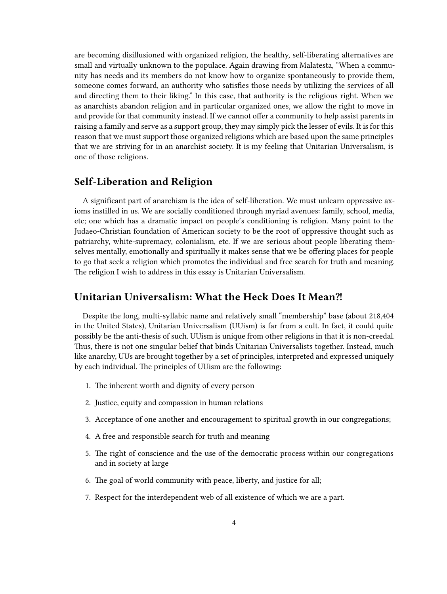are becoming disillusioned with organized religion, the healthy, self-liberating alternatives are small and virtually unknown to the populace. Again drawing from Malatesta, "When a community has needs and its members do not know how to organize spontaneously to provide them, someone comes forward, an authority who satisfies those needs by utilizing the services of all and directing them to their liking." In this case, that authority is the religious right. When we as anarchists abandon religion and in particular organized ones, we allow the right to move in and provide for that community instead. If we cannot offer a community to help assist parents in raising a family and serve as a support group, they may simply pick the lesser of evils. It is for this reason that we must support those organized religions which are based upon the same principles that we are striving for in an anarchist society. It is my feeling that Unitarian Universalism, is one of those religions.

#### <span id="page-3-0"></span>**Self-Liberation and Religion**

A significant part of anarchism is the idea of self-liberation. We must unlearn oppressive axioms instilled in us. We are socially conditioned through myriad avenues: family, school, media, etc; one which has a dramatic impact on people's conditioning is religion. Many point to the Judaeo-Christian foundation of American society to be the root of oppressive thought such as patriarchy, white-supremacy, colonialism, etc. If we are serious about people liberating themselves mentally, emotionally and spiritually it makes sense that we be offering places for people to go that seek a religion which promotes the individual and free search for truth and meaning. The religion I wish to address in this essay is Unitarian Universalism.

#### <span id="page-3-1"></span>**Unitarian Universalism: What the Heck Does It Mean⁈**

Despite the long, multi-syllabic name and relatively small "membership" base (about 218,404 in the United States), Unitarian Universalism (UUism) is far from a cult. In fact, it could quite possibly be the anti-thesis of such. UUism is unique from other religions in that it is non-creedal. Thus, there is not one singular belief that binds Unitarian Universalists together. Instead, much like anarchy, UUs are brought together by a set of principles, interpreted and expressed uniquely by each individual. The principles of UUism are the following:

- 1. The inherent worth and dignity of every person
- 2. Justice, equity and compassion in human relations
- 3. Acceptance of one another and encouragement to spiritual growth in our congregations;
- 4. A free and responsible search for truth and meaning
- 5. The right of conscience and the use of the democratic process within our congregations and in society at large
- 6. The goal of world community with peace, liberty, and justice for all;
- 7. Respect for the interdependent web of all existence of which we are a part.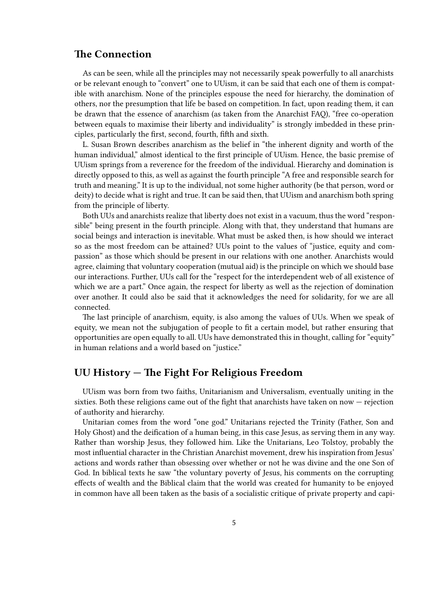## <span id="page-4-0"></span>**The Connection**

As can be seen, while all the principles may not necessarily speak powerfully to all anarchists or be relevant enough to "convert" one to UUism, it can be said that each one of them is compatible with anarchism. None of the principles espouse the need for hierarchy, the domination of others, nor the presumption that life be based on competition. In fact, upon reading them, it can be drawn that the essence of anarchism (as taken from the Anarchist FAQ), "free co-operation between equals to maximise their liberty and individuality" is strongly imbedded in these principles, particularly the first, second, fourth, fifth and sixth.

L. Susan Brown describes anarchism as the belief in "the inherent dignity and worth of the human individual," almost identical to the first principle of UUism. Hence, the basic premise of UUism springs from a reverence for the freedom of the individual. Hierarchy and domination is directly opposed to this, as well as against the fourth principle "A free and responsible search for truth and meaning." It is up to the individual, not some higher authority (be that person, word or deity) to decide what is right and true. It can be said then, that UUism and anarchism both spring from the principle of liberty.

Both UUs and anarchists realize that liberty does not exist in a vacuum, thus the word "responsible" being present in the fourth principle. Along with that, they understand that humans are social beings and interaction is inevitable. What must be asked then, is how should we interact so as the most freedom can be attained? UUs point to the values of "justice, equity and compassion" as those which should be present in our relations with one another. Anarchists would agree, claiming that voluntary cooperation (mutual aid) is the principle on which we should base our interactions. Further, UUs call for the "respect for the interdependent web of all existence of which we are a part." Once again, the respect for liberty as well as the rejection of domination over another. It could also be said that it acknowledges the need for solidarity, for we are all connected.

The last principle of anarchism, equity, is also among the values of UUs. When we speak of equity, we mean not the subjugation of people to fit a certain model, but rather ensuring that opportunities are open equally to all. UUs have demonstrated this in thought, calling for "equity" in human relations and a world based on "justice."

# <span id="page-4-1"></span>**UU History — The Fight For Religious Freedom**

UUism was born from two faiths, Unitarianism and Universalism, eventually uniting in the sixties. Both these religions came out of the fight that anarchists have taken on now — rejection of authority and hierarchy.

Unitarian comes from the word "one god." Unitarians rejected the Trinity (Father, Son and Holy Ghost) and the deification of a human being, in this case Jesus, as serving them in any way. Rather than worship Jesus, they followed him. Like the Unitarians, Leo Tolstoy, probably the most influential character in the Christian Anarchist movement, drew his inspiration from Jesus' actions and words rather than obsessing over whether or not he was divine and the one Son of God. In biblical texts he saw "the voluntary poverty of Jesus, his comments on the corrupting effects of wealth and the Biblical claim that the world was created for humanity to be enjoyed in common have all been taken as the basis of a socialistic critique of private property and capi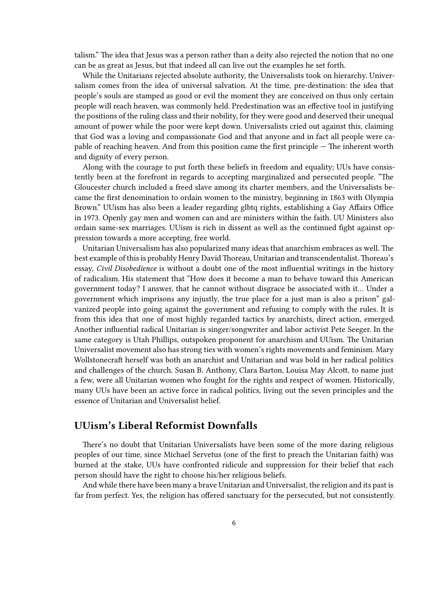talism." The idea that Jesus was a person rather than a deity also rejected the notion that no one can be as great as Jesus, but that indeed all can live out the examples he set forth.

While the Unitarians rejected absolute authority, the Universalists took on hierarchy. Universalism comes from the idea of universal salvation. At the time, pre-destination: the idea that people's souls are stamped as good or evil the moment they are conceived on thus only certain people will reach heaven, was commonly held. Predestination was an effective tool in justifying the positions of the ruling class and their nobility, for they were good and deserved their unequal amount of power while the poor were kept down. Universalists cried out against this, claiming that God was a loving and compassionate God and that anyone and in fact all people were capable of reaching heaven. And from this position came the first principle — The inherent worth and dignity of every person.

Along with the courage to put forth these beliefs in freedom and equality; UUs have consistently been at the forefront in regards to accepting marginalized and persecuted people. "The Gloucester church included a freed slave among its charter members, and the Universalists became the first denomination to ordain women to the ministry, beginning in 1863 with Olympia Brown." UUism has also been a leader regarding glbtq rights, establishing a Gay Affairs Office in 1973. Openly gay men and women can and are ministers within the faith. UU Ministers also ordain same-sex marriages. UUism is rich in dissent as well as the continued fight against oppression towards a more accepting, free world.

Unitarian Universalism has also popularized many ideas that anarchism embraces as well. The best example of this is probably Henry David Thoreau, Unitarian and transcendentalist. Thoreau's essay, *Civil Disobedience* is without a doubt one of the most influential writings in the history of radicalism. His statement that "How does it become a man to behave toward this American government today? I answer, that he cannot without disgrace be associated with it… Under a government which imprisons any injustly, the true place for a just man is also a prison" galvanized people into going against the government and refusing to comply with the rules. It is from this idea that one of most highly regarded tactics by anarchists, direct action, emerged. Another influential radical Unitarian is singer/songwriter and labor activist Pete Seeger. In the same category is Utah Phillips, outspoken proponent for anarchism and UUism. The Unitarian Universalist movement also has strong ties with women's rights movements and feminism. Mary Wollstonecraft herself was both an anarchist and Unitarian and was bold in her radical politics and challenges of the church. Susan B. Anthony, Clara Barton, Louisa May Alcott, to name just a few, were all Unitarian women who fought for the rights and respect of women. Historically, many UUs have been an active force in radical politics, living out the seven principles and the essence of Unitarian and Universalist belief.

## <span id="page-5-0"></span>**UUism's Liberal Reformist Downfalls**

There's no doubt that Unitarian Universalists have been some of the more daring religious peoples of our time, since Michael Servetus (one of the first to preach the Unitarian faith) was burned at the stake, UUs have confronted ridicule and suppression for their belief that each person should have the right to choose his/her religious beliefs.

And while there have been many a brave Unitarian and Universalist, the religion and its past is far from perfect. Yes, the religion has offered sanctuary for the persecuted, but not consistently.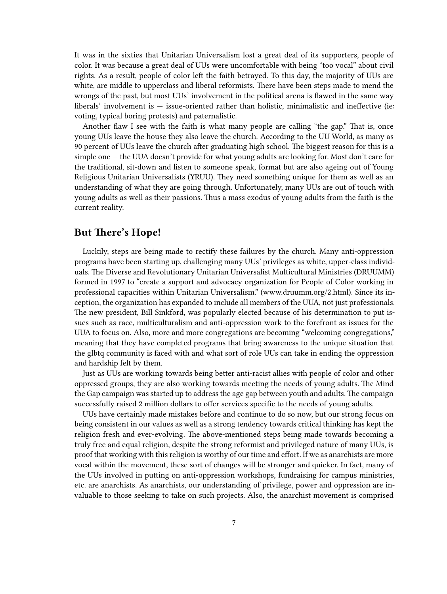It was in the sixties that Unitarian Universalism lost a great deal of its supporters, people of color. It was because a great deal of UUs were uncomfortable with being "too vocal" about civil rights. As a result, people of color left the faith betrayed. To this day, the majority of UUs are white, are middle to upperclass and liberal reformists. There have been steps made to mend the wrongs of the past, but most UUs' involvement in the political arena is flawed in the same way liberals' involvement is — issue-oriented rather than holistic, minimalistic and ineffective (ie: voting, typical boring protests) and paternalistic.

Another flaw I see with the faith is what many people are calling "the gap." That is, once young UUs leave the house they also leave the church. According to the UU World, as many as 90 percent of UUs leave the church after graduating high school. The biggest reason for this is a simple one — the UUA doesn't provide for what young adults are looking for. Most don't care for the traditional, sit-down and listen to someone speak, format but are also ageing out of Young Religious Unitarian Universalists (YRUU). They need something unique for them as well as an understanding of what they are going through. Unfortunately, many UUs are out of touch with young adults as well as their passions. Thus a mass exodus of young adults from the faith is the current reality.

## <span id="page-6-0"></span>**But There's Hope!**

Luckily, steps are being made to rectify these failures by the church. Many anti-oppression programs have been starting up, challenging many UUs' privileges as white, upper-class individuals. The Diverse and Revolutionary Unitarian Universalist Multicultural Ministries (DRUUMM) formed in 1997 to "create a support and advocacy organization for People of Color working in professional capacities within Unitarian Universalism." (www.druumm.org/2.html). Since its inception, the organization has expanded to include all members of the UUA, not just professionals. The new president, Bill Sinkford, was popularly elected because of his determination to put issues such as race, multiculturalism and anti-oppression work to the forefront as issues for the UUA to focus on. Also, more and more congregations are becoming "welcoming congregations," meaning that they have completed programs that bring awareness to the unique situation that the glbtq community is faced with and what sort of role UUs can take in ending the oppression and hardship felt by them.

Just as UUs are working towards being better anti-racist allies with people of color and other oppressed groups, they are also working towards meeting the needs of young adults. The Mind the Gap campaign was started up to address the age gap between youth and adults. The campaign successfully raised 2 million dollars to offer services specific to the needs of young adults.

UUs have certainly made mistakes before and continue to do so now, but our strong focus on being consistent in our values as well as a strong tendency towards critical thinking has kept the religion fresh and ever-evolving. The above-mentioned steps being made towards becoming a truly free and equal religion, despite the strong reformist and privileged nature of many UUs, is proof that working with this religion is worthy of our time and effort. If we as anarchists are more vocal within the movement, these sort of changes will be stronger and quicker. In fact, many of the UUs involved in putting on anti-oppression workshops, fundraising for campus ministries, etc. are anarchists. As anarchists, our understanding of privilege, power and oppression are invaluable to those seeking to take on such projects. Also, the anarchist movement is comprised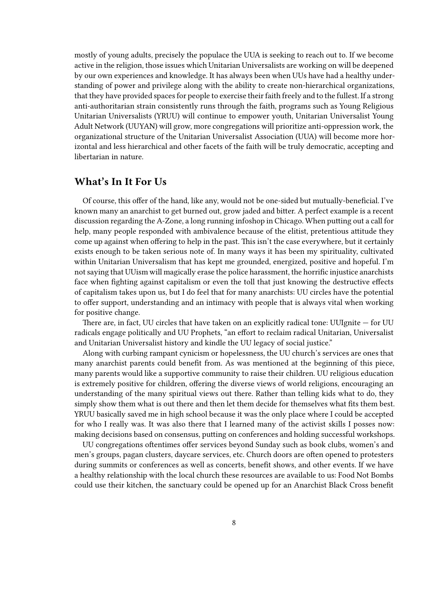mostly of young adults, precisely the populace the UUA is seeking to reach out to. If we become active in the religion, those issues which Unitarian Universalists are working on will be deepened by our own experiences and knowledge. It has always been when UUs have had a healthy understanding of power and privilege along with the ability to create non-hierarchical organizations, that they have provided spaces for people to exercise their faith freely and to the fullest. If a strong anti-authoritarian strain consistently runs through the faith, programs such as Young Religious Unitarian Universalists (YRUU) will continue to empower youth, Unitarian Universalist Young Adult Network (UUYAN) will grow, more congregations will prioritize anti-oppression work, the organizational structure of the Unitarian Universalist Association (UUA) will become more horizontal and less hierarchical and other facets of the faith will be truly democratic, accepting and libertarian in nature.

### <span id="page-7-0"></span>**What's In It For Us**

Of course, this offer of the hand, like any, would not be one-sided but mutually-beneficial. I've known many an anarchist to get burned out, grow jaded and bitter. A perfect example is a recent discussion regarding the A-Zone, a long running infoshop in Chicago. When putting out a call for help, many people responded with ambivalence because of the elitist, pretentious attitude they come up against when offering to help in the past. This isn't the case everywhere, but it certainly exists enough to be taken serious note of. In many ways it has been my spirituality, cultivated within Unitarian Universalism that has kept me grounded, energized, positive and hopeful. I'm not saying that UUism will magically erase the police harassment, the horrific injustice anarchists face when fighting against capitalism or even the toll that just knowing the destructive effects of capitalism takes upon us, but I do feel that for many anarchists: UU circles have the potential to offer support, understanding and an intimacy with people that is always vital when working for positive change.

There are, in fact, UU circles that have taken on an explicitly radical tone: UUIgnite — for UU radicals engage politically and UU Prophets, "an effort to reclaim radical Unitarian, Universalist and Unitarian Universalist history and kindle the UU legacy of social justice."

Along with curbing rampant cynicism or hopelessness, the UU church's services are ones that many anarchist parents could benefit from. As was mentioned at the beginning of this piece, many parents would like a supportive community to raise their children. UU religious education is extremely positive for children, offering the diverse views of world religions, encouraging an understanding of the many spiritual views out there. Rather than telling kids what to do, they simply show them what is out there and then let them decide for themselves what fits them best. YRUU basically saved me in high school because it was the only place where I could be accepted for who I really was. It was also there that I learned many of the activist skills I posses now: making decisions based on consensus, putting on conferences and holding successful workshops.

UU congregations oftentimes offer services beyond Sunday such as book clubs, women's and men's groups, pagan clusters, daycare services, etc. Church doors are often opened to protesters during summits or conferences as well as concerts, benefit shows, and other events. If we have a healthy relationship with the local church these resources are available to us: Food Not Bombs could use their kitchen, the sanctuary could be opened up for an Anarchist Black Cross benefit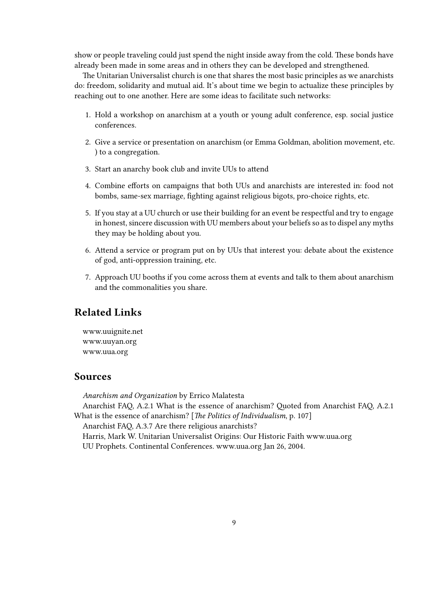show or people traveling could just spend the night inside away from the cold. These bonds have already been made in some areas and in others they can be developed and strengthened.

The Unitarian Universalist church is one that shares the most basic principles as we anarchists do: freedom, solidarity and mutual aid. It's about time we begin to actualize these principles by reaching out to one another. Here are some ideas to facilitate such networks:

- 1. Hold a workshop on anarchism at a youth or young adult conference, esp. social justice conferences.
- 2. Give a service or presentation on anarchism (or Emma Goldman, abolition movement, etc. ) to a congregation.
- 3. Start an anarchy book club and invite UUs to attend
- 4. Combine efforts on campaigns that both UUs and anarchists are interested in: food not bombs, same-sex marriage, fighting against religious bigots, pro-choice rights, etc.
- 5. If you stay at a UU church or use their building for an event be respectful and try to engage in honest, sincere discussion with UU members about your beliefs so as to dispel any myths they may be holding about you.
- 6. Attend a service or program put on by UUs that interest you: debate about the existence of god, anti-oppression training, etc.
- 7. Approach UU booths if you come across them at events and talk to them about anarchism and the commonalities you share.

## <span id="page-8-0"></span>**Related Links**

www.uuignite.net www.uuyan.org www.uua.org

#### <span id="page-8-1"></span>**Sources**

*Anarchism and Organization* by Errico Malatesta

Anarchist FAQ, A.2.1 What is the essence of anarchism? Quoted from Anarchist FAQ, A.2.1 What is the essence of anarchism? [*The Politics of Individualism*, p. 107]

Anarchist FAQ, A.3.7 Are there religious anarchists?

Harris, Mark W. Unitarian Universalist Origins: Our Historic Faith [www.uua.org](http://www.uua.org/info/origins.html) UU Prophets. Continental Conferences. [www.uua.org](http://www.uua.org/ya-cm/conferences/) Jan 26, 2004.